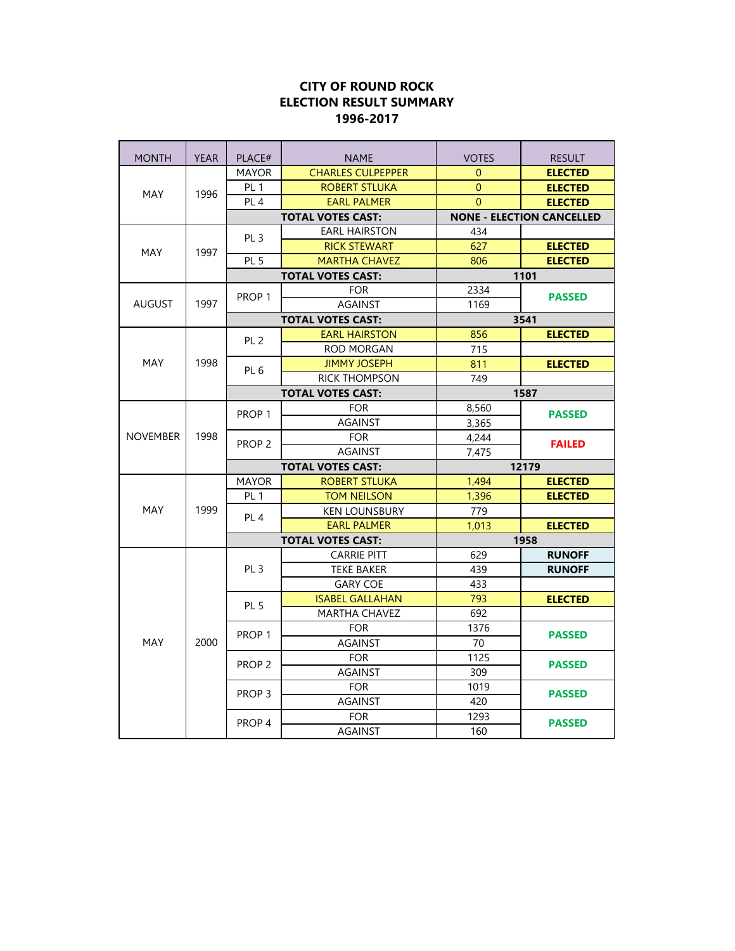| <b>MONTH</b>    | <b>YEAR</b> | PLACE#                   | <b>NAME</b>              | <b>VOTES</b>                     | <b>RESULT</b>  |
|-----------------|-------------|--------------------------|--------------------------|----------------------------------|----------------|
| <b>MAY</b>      | 1996        | <b>MAYOR</b>             | <b>CHARLES CULPEPPER</b> | $\Omega$                         | <b>ELECTED</b> |
|                 |             | PL <sub>1</sub>          | <b>ROBERT STLUKA</b>     | $\overline{0}$                   | <b>ELECTED</b> |
|                 |             | PL <sub>4</sub>          | <b>EARL PALMER</b>       | $\Omega$                         | <b>ELECTED</b> |
|                 |             |                          | <b>TOTAL VOTES CAST:</b> | <b>NONE - ELECTION CANCELLED</b> |                |
| <b>MAY</b>      |             | PL <sub>3</sub>          | <b>EARL HAIRSTON</b>     | 434                              |                |
|                 | 1997        |                          | <b>RICK STEWART</b>      | 627                              | <b>ELECTED</b> |
|                 |             | PL <sub>5</sub>          | <b>MARTHA CHAVEZ</b>     | 806                              | <b>ELECTED</b> |
|                 |             | <b>TOTAL VOTES CAST:</b> |                          | 1101                             |                |
|                 |             | PROP <sub>1</sub>        | <b>FOR</b>               | 2334                             | <b>PASSED</b>  |
| <b>AUGUST</b>   | 1997        |                          | <b>AGAINST</b>           | 1169                             |                |
|                 |             |                          | <b>TOTAL VOTES CAST:</b> | 3541                             |                |
|                 |             | PL <sub>2</sub>          | <b>EARL HAIRSTON</b>     | 856                              | <b>ELECTED</b> |
|                 |             |                          | <b>ROD MORGAN</b>        | 715                              |                |
| MAY             | 1998        | PL <sub>6</sub>          | <b>JIMMY JOSEPH</b>      | 811                              | <b>ELECTED</b> |
|                 |             |                          | <b>RICK THOMPSON</b>     | 749                              |                |
|                 |             |                          | <b>TOTAL VOTES CAST:</b> | 1587                             |                |
|                 |             | PROP <sub>1</sub>        | <b>FOR</b>               | 8,560                            | <b>PASSED</b>  |
|                 | 1998        |                          | <b>AGAINST</b>           | 3,365                            |                |
| <b>NOVEMBER</b> |             | PROP <sub>2</sub>        | <b>FOR</b>               | 4,244                            | <b>FAILED</b>  |
|                 |             |                          | <b>AGAINST</b>           | 7,475                            |                |
|                 |             | <b>TOTAL VOTES CAST:</b> |                          | 12179                            |                |
|                 | 1999        | <b>MAYOR</b>             | <b>ROBERT STLUKA</b>     | 1,494                            | <b>ELECTED</b> |
|                 |             | PL <sub>1</sub>          | <b>TOM NEILSON</b>       | 1,396                            | <b>ELECTED</b> |
| <b>MAY</b>      |             | PL <sub>4</sub>          | <b>KEN LOUNSBURY</b>     | 779                              |                |
|                 |             |                          | <b>EARL PALMER</b>       | 1,013                            | <b>ELECTED</b> |
|                 |             |                          | <b>TOTAL VOTES CAST:</b> |                                  | 1958           |
|                 | 2000        |                          | <b>CARRIE PITT</b>       | 629                              | <b>RUNOFF</b>  |
| MAY             |             | PL <sub>3</sub>          | <b>TEKE BAKER</b>        | 439                              | <b>RUNOFF</b>  |
|                 |             |                          | <b>GARY COE</b>          | 433                              |                |
|                 |             | PL <sub>5</sub>          | <b>ISABEL GALLAHAN</b>   | 793                              | <b>ELECTED</b> |
|                 |             |                          | MARTHA CHAVEZ            | 692                              |                |
|                 |             | PROP <sub>1</sub>        | <b>FOR</b>               | 1376                             | <b>PASSED</b>  |
|                 |             |                          | <b>AGAINST</b>           | 70                               |                |
|                 |             | PROP <sub>2</sub>        | <b>FOR</b>               | 1125                             | <b>PASSED</b>  |
|                 |             |                          | <b>AGAINST</b>           | 309                              |                |
|                 |             | PROP <sub>3</sub>        | <b>FOR</b>               | 1019                             | <b>PASSED</b>  |
|                 |             |                          | <b>AGAINST</b>           | 420                              |                |
|                 |             | PROP <sub>4</sub>        | <b>FOR</b>               | 1293                             | <b>PASSED</b>  |
|                 |             |                          | <b>AGAINST</b>           | 160                              |                |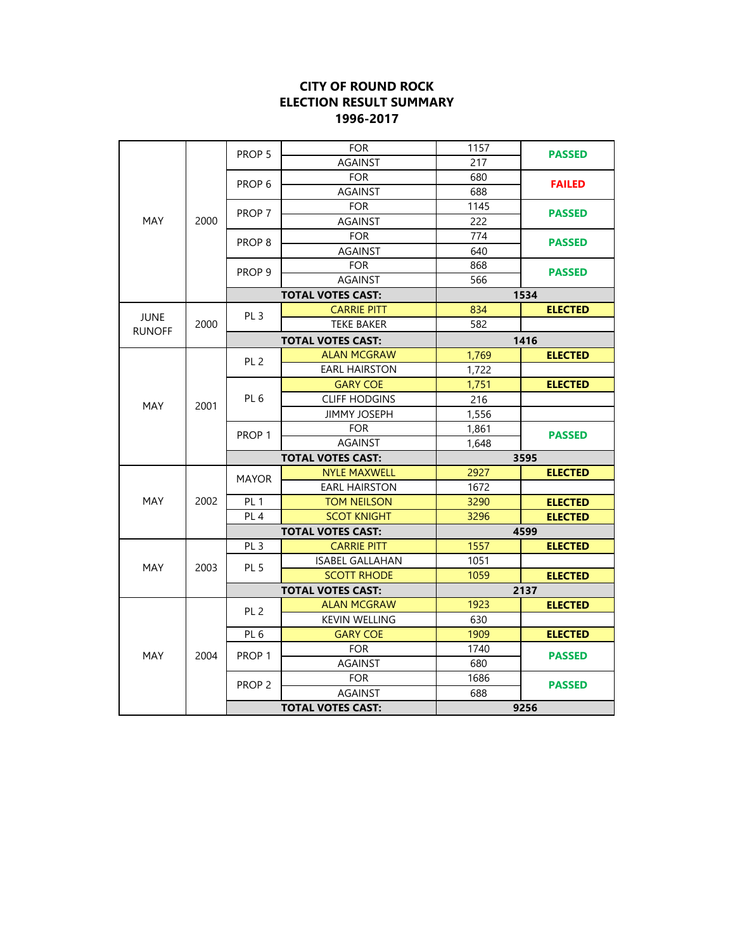|                       |              | PROP <sub>5</sub>        | <b>FOR</b>               | 1157  | <b>PASSED</b>  |  |
|-----------------------|--------------|--------------------------|--------------------------|-------|----------------|--|
| MAY                   |              |                          | <b>AGAINST</b>           | 217   |                |  |
|                       |              | PROP <sub>6</sub>        | <b>FOR</b>               | 680   | <b>FAILED</b>  |  |
|                       |              |                          | <b>AGAINST</b>           | 688   |                |  |
|                       |              |                          | <b>FOR</b>               | 1145  | <b>PASSED</b>  |  |
|                       | 2000         | PROP 7                   | <b>AGAINST</b>           | 222   | <b>PASSED</b>  |  |
|                       |              |                          | <b>FOR</b>               | 774   |                |  |
|                       |              | PROP <sub>8</sub>        | <b>AGAINST</b>           | 640   |                |  |
|                       |              |                          | <b>FOR</b>               | 868   |                |  |
|                       |              | PROP <sub>9</sub>        | <b>AGAINST</b>           | 566   | <b>PASSED</b>  |  |
|                       |              |                          | <b>TOTAL VOTES CAST:</b> | 1534  |                |  |
|                       |              |                          | <b>CARRIE PITT</b>       | 834   | <b>ELECTED</b> |  |
| JUNE<br><b>RUNOFF</b> | 2000         | PL <sub>3</sub>          | <b>TEKE BAKER</b>        | 582   |                |  |
|                       |              |                          | <b>TOTAL VOTES CAST:</b> |       | 1416           |  |
|                       |              |                          | <b>ALAN MCGRAW</b>       | 1,769 | <b>ELECTED</b> |  |
|                       |              | PL <sub>2</sub>          | <b>EARL HAIRSTON</b>     | 1,722 |                |  |
|                       |              | PL <sub>6</sub>          | <b>GARY COE</b>          | 1,751 | <b>ELECTED</b> |  |
|                       |              |                          | <b>CLIFF HODGINS</b>     | 216   |                |  |
| MAY                   | 2001         |                          | <b>JIMMY JOSEPH</b>      | 1,556 |                |  |
|                       |              |                          | <b>FOR</b>               | 1,861 |                |  |
|                       |              | PROP <sub>1</sub>        | <b>AGAINST</b>           | 1,648 | <b>PASSED</b>  |  |
|                       | 2002<br>2003 | <b>TOTAL VOTES CAST:</b> |                          |       | 3595           |  |
|                       |              | <b>MAYOR</b>             | <b>NYLE MAXWELL</b>      | 2927  | <b>ELECTED</b> |  |
|                       |              |                          | <b>EARL HAIRSTON</b>     | 1672  |                |  |
| <b>MAY</b>            |              | PL <sub>1</sub>          | <b>TOM NEILSON</b>       | 3290  | <b>ELECTED</b> |  |
|                       |              | PL <sub>4</sub>          | <b>SCOT KNIGHT</b>       | 3296  | <b>ELECTED</b> |  |
|                       |              |                          | <b>TOTAL VOTES CAST:</b> |       | 4599           |  |
|                       |              | PL <sub>3</sub>          | <b>CARRIE PITT</b>       | 1557  | <b>ELECTED</b> |  |
| <b>MAY</b>            |              | PL <sub>5</sub>          | <b>ISABEL GALLAHAN</b>   | 1051  |                |  |
|                       |              |                          | <b>SCOTT RHODE</b>       | 1059  | <b>ELECTED</b> |  |
| MAY                   | 2004         |                          | <b>TOTAL VOTES CAST:</b> | 2137  |                |  |
|                       |              | PL <sub>2</sub>          | <b>ALAN MCGRAW</b>       | 1923  | <b>ELECTED</b> |  |
|                       |              |                          | <b>KEVIN WELLING</b>     | 630   |                |  |
|                       |              | PL <sub>6</sub>          | <b>GARY COE</b>          | 1909  | <b>ELECTED</b> |  |
|                       |              | PROP <sub>1</sub>        | <b>FOR</b>               | 1740  | <b>PASSED</b>  |  |
|                       |              |                          | <b>AGAINST</b>           | 680   |                |  |
|                       |              | PROP <sub>2</sub>        | <b>FOR</b>               | 1686  | <b>PASSED</b>  |  |
|                       |              |                          | <b>AGAINST</b>           | 688   |                |  |
|                       |              |                          | <b>TOTAL VOTES CAST:</b> |       | 9256           |  |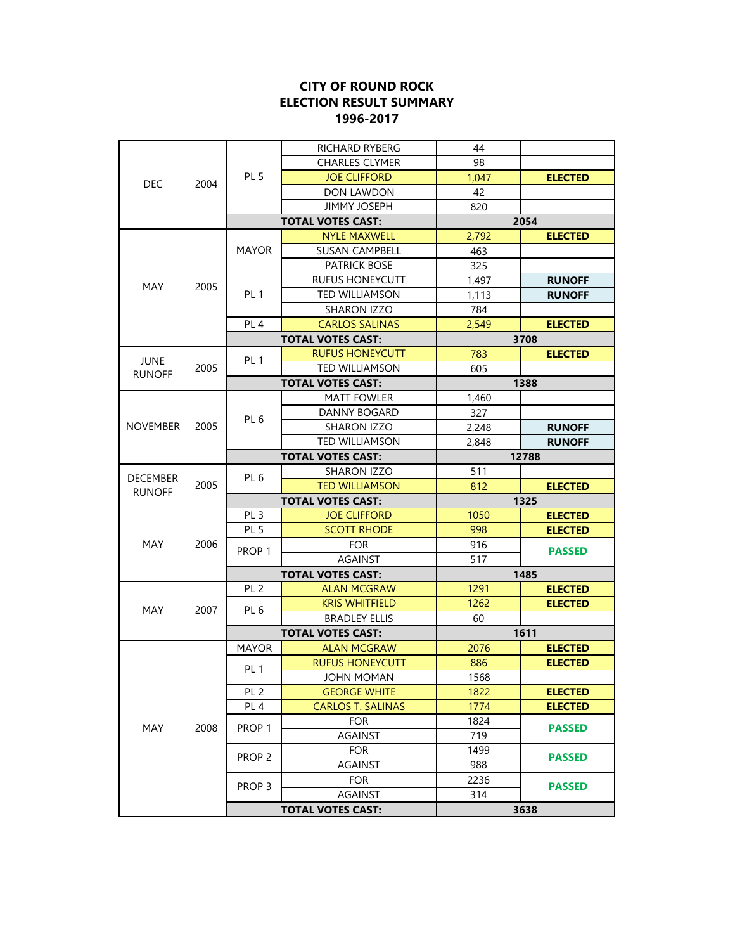|                 |      |                                        | <b>AGAINST</b>           | 314   |                |
|-----------------|------|----------------------------------------|--------------------------|-------|----------------|
| MAY             |      | PROP <sub>2</sub><br>PROP <sub>3</sub> | <b>FOR</b>               | 2236  | <b>PASSED</b>  |
|                 |      |                                        | <b>AGAINST</b>           | 988   |                |
|                 | 2008 |                                        | <b>FOR</b>               | 1499  | <b>PASSED</b>  |
|                 |      |                                        | <b>AGAINST</b>           | 719   |                |
|                 |      | PROP <sub>1</sub>                      | <b>FOR</b>               | 1824  | <b>PASSED</b>  |
|                 |      | PL <sub>4</sub>                        | <b>CARLOS T. SALINAS</b> | 1774  | <b>ELECTED</b> |
|                 |      | PL <sub>2</sub>                        | <b>GEORGE WHITE</b>      | 1822  | <b>ELECTED</b> |
|                 |      |                                        | JOHN MOMAN               | 1568  |                |
|                 |      | PL <sub>1</sub>                        | <b>RUFUS HONEYCUTT</b>   | 886   | <b>ELECTED</b> |
|                 | 2007 | <b>MAYOR</b>                           | <b>ALAN MCGRAW</b>       | 2076  | <b>ELECTED</b> |
|                 |      |                                        | <b>TOTAL VOTES CAST:</b> |       | 1611           |
|                 |      |                                        | <b>BRADLEY ELLIS</b>     | 60    |                |
| MAY             |      | PL <sub>6</sub>                        | <b>KRIS WHITFIELD</b>    | 1262  | <b>ELECTED</b> |
|                 |      | PL <sub>2</sub>                        | <b>ALAN MCGRAW</b>       | 1291  | <b>ELECTED</b> |
|                 |      |                                        | <b>TOTAL VOTES CAST:</b> |       | 1485           |
|                 |      |                                        | <b>AGAINST</b>           | 517   |                |
| MAY             | 2006 | PROP <sub>1</sub>                      | <b>FOR</b>               | 916   | <b>PASSED</b>  |
|                 |      | PL <sub>5</sub>                        | <b>SCOTT RHODE</b>       | 998   | <b>ELECTED</b> |
|                 |      | PL <sub>3</sub>                        | <b>JOE CLIFFORD</b>      | 1050  | <b>ELECTED</b> |
|                 |      |                                        | <b>TOTAL VOTES CAST:</b> |       | 1325           |
| <b>RUNOFF</b>   | 2005 |                                        | <b>TED WILLIAMSON</b>    | 812   | <b>ELECTED</b> |
| <b>DECEMBER</b> |      | PL <sub>6</sub>                        | <b>SHARON IZZO</b>       | 511   |                |
|                 |      |                                        | <b>TOTAL VOTES CAST:</b> | 12788 |                |
|                 |      |                                        | <b>TED WILLIAMSON</b>    | 2,848 | <b>RUNOFF</b>  |
| <b>NOVEMBER</b> | 2005 | PL <sub>6</sub>                        | SHARON IZZO              | 2,248 | <b>RUNOFF</b>  |
|                 |      |                                        | <b>DANNY BOGARD</b>      | 327   |                |
|                 |      |                                        | <b>MATT FOWLER</b>       | 1,460 |                |
|                 |      |                                        | <b>TOTAL VOTES CAST:</b> | 1388  |                |
| <b>RUNOFF</b>   | 2005 |                                        | <b>TED WILLIAMSON</b>    | 605   |                |
| <b>JUNE</b>     |      | PL <sub>1</sub>                        | <b>RUFUS HONEYCUTT</b>   | 783   | <b>ELECTED</b> |
|                 |      |                                        | <b>TOTAL VOTES CAST:</b> |       | 3708           |
|                 |      | PL <sub>4</sub>                        | <b>CARLOS SALINAS</b>    | 2,549 | <b>ELECTED</b> |
|                 |      |                                        | <b>SHARON IZZO</b>       | 784   |                |
| MAY             | 2005 | PL <sub>1</sub>                        | <b>TED WILLIAMSON</b>    | 1,113 | <b>RUNOFF</b>  |
|                 |      |                                        | <b>RUFUS HONEYCUTT</b>   | 1,497 | <b>RUNOFF</b>  |
|                 |      |                                        | <b>PATRICK BOSE</b>      | 325   |                |
|                 |      | <b>MAYOR</b>                           | <b>SUSAN CAMPBELL</b>    | 463   |                |
|                 |      |                                        | <b>NYLE MAXWELL</b>      | 2,792 | <b>ELECTED</b> |
|                 |      | <b>TOTAL VOTES CAST:</b>               |                          | 2054  |                |
| <b>DEC</b>      |      |                                        | <b>JIMMY JOSEPH</b>      | 820   |                |
|                 | 2004 | PL <sub>5</sub>                        | DON LAWDON               | 42    |                |
|                 |      |                                        | <b>JOE CLIFFORD</b>      | 1,047 | <b>ELECTED</b> |
|                 |      |                                        | <b>CHARLES CLYMER</b>    | 98    |                |
|                 |      |                                        | RICHARD RYBERG           | 44    |                |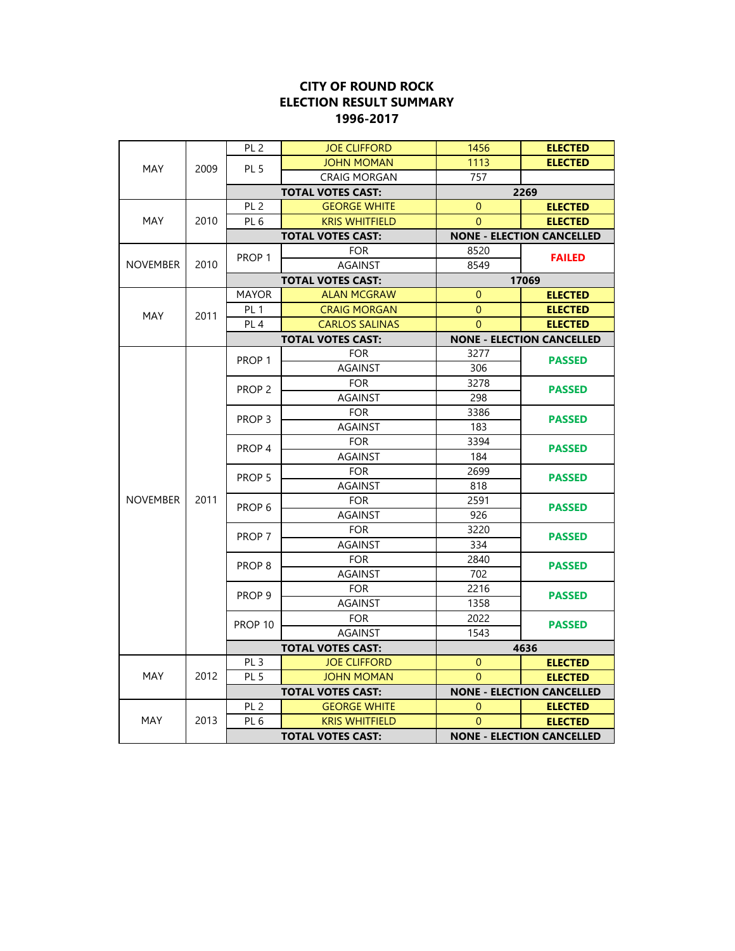|                 |      | PL <sub>2</sub>          | <b>JOE CLIFFORD</b>      | 1456                             | <b>ELECTED</b>                   |                                  |
|-----------------|------|--------------------------|--------------------------|----------------------------------|----------------------------------|----------------------------------|
| <b>MAY</b>      | 2009 | PL <sub>5</sub>          | <b>JOHN MOMAN</b>        | 1113                             | <b>ELECTED</b>                   |                                  |
|                 |      |                          | <b>CRAIG MORGAN</b>      | 757                              |                                  |                                  |
| MAY             |      |                          | <b>TOTAL VOTES CAST:</b> |                                  | 2269                             |                                  |
|                 |      | PL <sub>2</sub>          | <b>GEORGE WHITE</b>      | $\mathbf{0}$                     | <b>ELECTED</b>                   |                                  |
|                 | 2010 | PL <sub>6</sub>          | <b>KRIS WHITFIELD</b>    | $\overline{0}$                   | <b>ELECTED</b>                   |                                  |
|                 |      | <b>TOTAL VOTES CAST:</b> |                          |                                  | <b>NONE - ELECTION CANCELLED</b> |                                  |
|                 |      | PROP 1                   | <b>FOR</b>               | 8520                             | <b>FAILED</b>                    |                                  |
| <b>NOVEMBER</b> | 2010 |                          | <b>AGAINST</b>           | 8549                             |                                  |                                  |
|                 |      |                          | <b>TOTAL VOTES CAST:</b> | 17069                            |                                  |                                  |
|                 |      | <b>MAYOR</b>             | <b>ALAN MCGRAW</b>       | $\overline{0}$                   | <b>ELECTED</b>                   |                                  |
| <b>MAY</b>      | 2011 | PL <sub>1</sub>          | <b>CRAIG MORGAN</b>      | $\Omega$                         | <b>ELECTED</b>                   |                                  |
|                 |      | PL <sub>4</sub>          | <b>CARLOS SALINAS</b>    | $\overline{0}$                   | <b>ELECTED</b>                   |                                  |
|                 |      |                          | <b>TOTAL VOTES CAST:</b> | <b>NONE - ELECTION CANCELLED</b> |                                  |                                  |
|                 |      |                          | <b>FOR</b>               | 3277                             |                                  |                                  |
|                 |      | PROP <sub>1</sub>        | <b>AGAINST</b>           | 306                              | <b>PASSED</b>                    |                                  |
|                 |      |                          | <b>FOR</b>               | 3278                             |                                  |                                  |
|                 |      | PROP <sub>2</sub>        | <b>AGAINST</b>           | 298                              | <b>PASSED</b>                    |                                  |
|                 |      |                          | <b>FOR</b>               | 3386                             |                                  |                                  |
|                 |      | PROP <sub>3</sub>        | <b>AGAINST</b>           | 183                              | <b>PASSED</b>                    |                                  |
|                 |      |                          | <b>FOR</b>               | 3394                             |                                  |                                  |
|                 |      | PROP <sub>4</sub>        | <b>AGAINST</b>           | 184                              | <b>PASSED</b>                    |                                  |
|                 | 2011 |                          | <b>FOR</b>               | 2699                             |                                  |                                  |
|                 |      | PROP 5                   | <b>AGAINST</b>           | 818                              | <b>PASSED</b>                    |                                  |
| <b>NOVEMBER</b> |      | PROP <sub>6</sub>        | <b>FOR</b>               | 2591                             |                                  |                                  |
|                 |      |                          | <b>AGAINST</b>           | 926                              | <b>PASSED</b>                    |                                  |
|                 |      |                          | <b>FOR</b>               | 3220                             | <b>PASSED</b>                    |                                  |
|                 |      | PROP 7                   | <b>AGAINST</b>           | 334                              |                                  |                                  |
|                 |      |                          | <b>FOR</b>               | 2840                             | <b>PASSED</b>                    |                                  |
|                 |      | PROP <sub>8</sub>        | <b>AGAINST</b>           | 702                              |                                  |                                  |
|                 |      | PROP <sub>9</sub>        | <b>FOR</b>               | 2216                             | <b>PASSED</b>                    |                                  |
|                 |      |                          | <b>AGAINST</b>           | 1358                             |                                  |                                  |
|                 |      |                          | <b>FOR</b>               | 2022                             |                                  |                                  |
|                 |      | PROP <sub>10</sub>       | <b>AGAINST</b>           | 1543                             | <b>PASSED</b>                    |                                  |
| <b>MAY</b>      | 2012 | <b>TOTAL VOTES CAST:</b> |                          | 4636                             |                                  |                                  |
|                 |      | PL <sub>3</sub>          | <b>JOE CLIFFORD</b>      | $\overline{0}$                   | <b>ELECTED</b>                   |                                  |
|                 |      | PL <sub>5</sub>          | <b>JOHN MOMAN</b>        | $\Omega$                         | <b>ELECTED</b>                   |                                  |
| <b>MAY</b>      | 2013 | <b>TOTAL VOTES CAST:</b> |                          |                                  | <b>NONE - ELECTION CANCELLED</b> |                                  |
|                 |      | PL <sub>2</sub>          | <b>GEORGE WHITE</b>      | $\mathbf 0$                      | <b>ELECTED</b>                   |                                  |
|                 |      | PL <sub>6</sub>          | <b>KRIS WHITFIELD</b>    | $\Omega$                         | <b>ELECTED</b>                   |                                  |
|                 |      |                          |                          | <b>TOTAL VOTES CAST:</b>         |                                  | <b>NONE - ELECTION CANCELLED</b> |